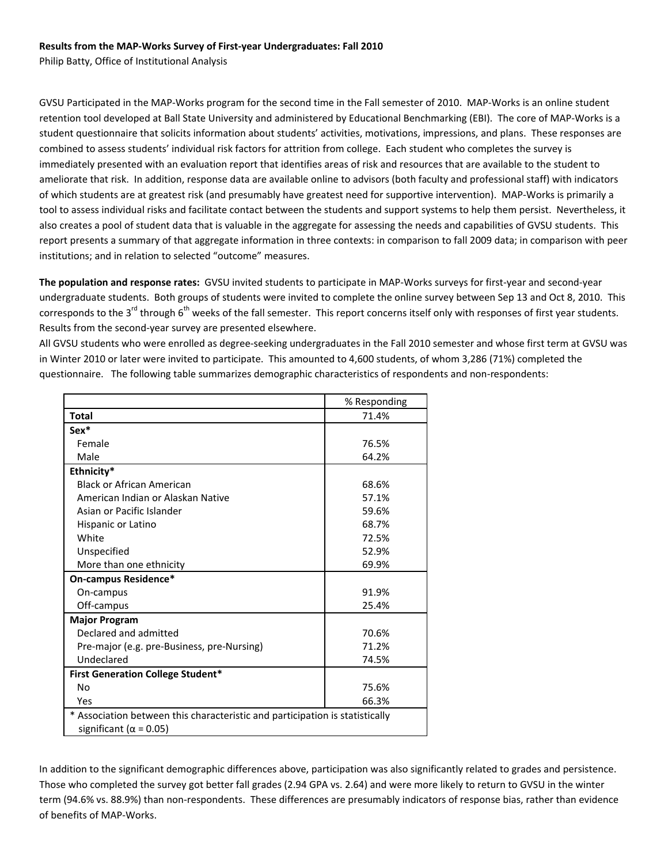## **Results from the MAP‐Works Survey of First‐year Undergraduates: Fall 2010**

Philip Batty, Office of Institutional Analysis

GVSU Participated in the MAP‐Works program for the second time in the Fall semester of 2010. MAP‐Works is an online student retention tool developed at Ball State University and administered by Educational Benchmarking (EBI). The core of MAP‐Works is a student questionnaire that solicits information about students' activities, motivations, impressions, and plans. These responses are combined to assess students' individual risk factors for attrition from college. Each student who completes the survey is immediately presented with an evaluation report that identifies areas of risk and resources that are available to the student to ameliorate that risk. In addition, response data are available online to advisors (both faculty and professional staff) with indicators of which students are at greatest risk (and presumably have greatest need for supportive intervention). MAP‐Works is primarily a tool to assess individual risks and facilitate contact between the students and support systems to help them persist. Nevertheless, it also creates a pool of student data that is valuable in the aggregate for assessing the needs and capabilities of GVSU students. This report presents a summary of that aggregate information in three contexts: in comparison to fall 2009 data; in comparison with peer institutions; and in relation to selected "outcome" measures.

**The population and response rates:** GVSU invited students to participate in MAP‐Works surveys for first‐year and second‐year undergraduate students. Both groups of students were invited to complete the online survey between Sep 13 and Oct 8, 2010. This corresponds to the  $3^{rd}$  through  $6^{th}$  weeks of the fall semester. This report concerns itself only with responses of first year students. Results from the second‐year survey are presented elsewhere.

All GVSU students who were enrolled as degree‐seeking undergraduates in the Fall 2010 semester and whose first term at GVSU was in Winter 2010 or later were invited to participate. This amounted to 4,600 students, of whom 3,286 (71%) completed the questionnaire. The following table summarizes demographic characteristics of respondents and non-respondents:

|                                                                                                                | % Responding |  |  |  |
|----------------------------------------------------------------------------------------------------------------|--------------|--|--|--|
| <b>Total</b>                                                                                                   | 71.4%        |  |  |  |
| Sex*                                                                                                           |              |  |  |  |
| Female                                                                                                         | 76.5%        |  |  |  |
| Male                                                                                                           | 64.2%        |  |  |  |
| Ethnicity*                                                                                                     |              |  |  |  |
| <b>Black or African American</b>                                                                               | 68.6%        |  |  |  |
| American Indian or Alaskan Native                                                                              | 57.1%        |  |  |  |
| Asian or Pacific Islander                                                                                      | 59.6%        |  |  |  |
| Hispanic or Latino                                                                                             | 68.7%        |  |  |  |
| White                                                                                                          | 72.5%        |  |  |  |
| Unspecified                                                                                                    | 52.9%        |  |  |  |
| More than one ethnicity                                                                                        | 69.9%        |  |  |  |
| On-campus Residence*                                                                                           |              |  |  |  |
| On-campus                                                                                                      | 91.9%        |  |  |  |
| Off-campus                                                                                                     | 25.4%        |  |  |  |
| <b>Major Program</b>                                                                                           |              |  |  |  |
| Declared and admitted                                                                                          | 70.6%        |  |  |  |
| Pre-major (e.g. pre-Business, pre-Nursing)                                                                     | 71.2%        |  |  |  |
| Undeclared                                                                                                     | 74.5%        |  |  |  |
| <b>First Generation College Student*</b>                                                                       |              |  |  |  |
| No                                                                                                             | 75.6%        |  |  |  |
| Yes                                                                                                            | 66.3%        |  |  |  |
| * Association between this characteristic and participation is statistically<br>significant ( $\alpha$ = 0.05) |              |  |  |  |

In addition to the significant demographic differences above, participation was also significantly related to grades and persistence. Those who completed the survey got better fall grades (2.94 GPA vs. 2.64) and were more likely to return to GVSU in the winter term (94.6% vs. 88.9%) than non-respondents. These differences are presumably indicators of response bias, rather than evidence of benefits of MAP‐Works.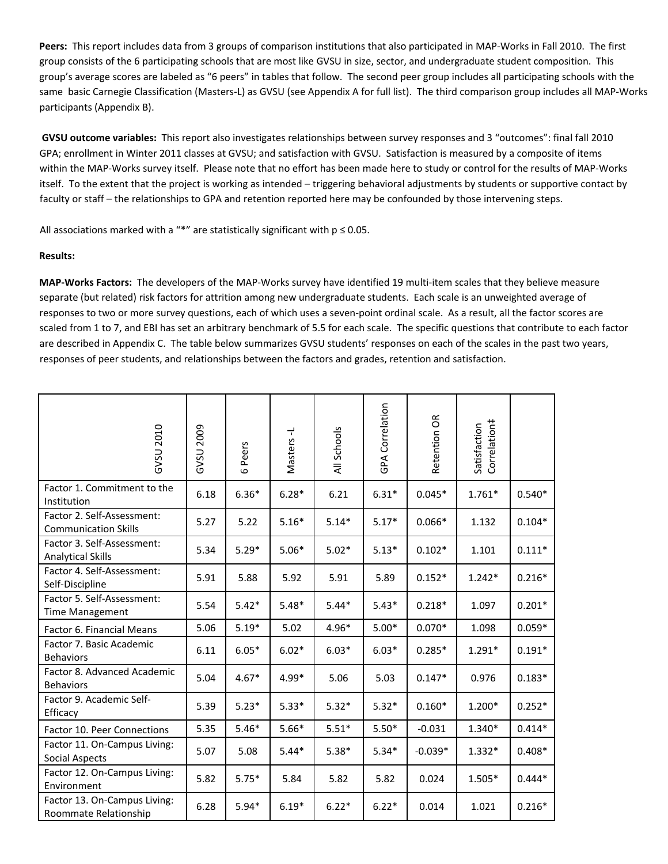Peers: This report includes data from 3 groups of comparison institutions that also participated in MAP-Works in Fall 2010. The first group consists of the 6 participating schools that are most like GVSU in size, sector, and undergraduate student composition. This group's average scores are labeled as "6 peers" in tables that follow. The second peer group includes all participating schools with the same basic Carnegie Classification (Masters-L) as GVSU (see Appendix A for full list). The third comparison group includes all MAP-Works participants (Appendix B).

**GVSU outcome variables:** This report also investigates relationships between survey responses and 3 "outcomes": final fall 2010 GPA; enrollment in Winter 2011 classes at GVSU; and satisfaction with GVSU. Satisfaction is measured by a composite of items within the MAP‐Works survey itself. Please note that no effort has been made here to study or control for the results of MAP‐Works itself. To the extent that the project is working as intended – triggering behavioral adjustments by students or supportive contact by faculty or staff – the relationships to GPA and retention reported here may be confounded by those intervening steps.

All associations marked with a "\*" are statistically significant with  $p \le 0.05$ .

## **Results:**

**MAP‐Works Factors:** The developers of the MAP‐Works survey have identified 19 multi‐item scales that they believe measure separate (but related) risk factors for attrition among new undergraduate students. Each scale is an unweighted average of responses to two or more survey questions, each of which uses a seven-point ordinal scale. As a result, all the factor scores are scaled from 1 to 7, and EBI has set an arbitrary benchmark of 5.5 for each scale. The specific questions that contribute to each factor are described in Appendix C. The table below summarizes GVSU students' responses on each of the scales in the past two years, responses of peer students, and relationships between the factors and grades, retention and satisfaction.

| GVSU 2010                                                 | GVSU 2009 | 6 Peers | Masters-L | All Schools | GPA Correlation | Retention OR | Correlation#<br>Satisfaction |          |
|-----------------------------------------------------------|-----------|---------|-----------|-------------|-----------------|--------------|------------------------------|----------|
| Factor 1. Commitment to the<br>Institution                | 6.18      | $6.36*$ | $6.28*$   | 6.21        | $6.31*$         | $0.045*$     | $1.761*$                     | $0.540*$ |
| Factor 2. Self-Assessment:<br><b>Communication Skills</b> | 5.27      | 5.22    | $5.16*$   | $5.14*$     | $5.17*$         | $0.066*$     | 1.132                        | $0.104*$ |
| Factor 3. Self-Assessment:<br><b>Analytical Skills</b>    | 5.34      | $5.29*$ | $5.06*$   | $5.02*$     | $5.13*$         | $0.102*$     | 1.101                        | $0.111*$ |
| Factor 4. Self-Assessment:<br>Self-Discipline             | 5.91      | 5.88    | 5.92      | 5.91        | 5.89            | $0.152*$     | $1.242*$                     | $0.216*$ |
| Factor 5. Self-Assessment:<br><b>Time Management</b>      | 5.54      | $5.42*$ | $5.48*$   | $5.44*$     | $5.43*$         | $0.218*$     | 1.097                        | $0.201*$ |
| Factor 6. Financial Means                                 | 5.06      | $5.19*$ | 5.02      | 4.96*       | $5.00*$         | $0.070*$     | 1.098                        | $0.059*$ |
| Factor 7. Basic Academic<br><b>Behaviors</b>              | 6.11      | $6.05*$ | $6.02*$   | $6.03*$     | $6.03*$         | $0.285*$     | $1.291*$                     | $0.191*$ |
| Factor 8. Advanced Academic<br><b>Behaviors</b>           | 5.04      | $4.67*$ | 4.99*     | 5.06        | 5.03            | $0.147*$     | 0.976                        | $0.183*$ |
| Factor 9. Academic Self-<br>Efficacy                      | 5.39      | $5.23*$ | $5.33*$   | $5.32*$     | $5.32*$         | $0.160*$     | $1.200*$                     | $0.252*$ |
| Factor 10. Peer Connections                               | 5.35      | $5.46*$ | $5.66*$   | $5.51*$     | $5.50*$         | $-0.031$     | 1.340*                       | $0.414*$ |
| Factor 11. On-Campus Living:<br>Social Aspects            | 5.07      | 5.08    | $5.44*$   | $5.38*$     | $5.34*$         | $-0.039*$    | $1.332*$                     | $0.408*$ |
| Factor 12. On-Campus Living:<br>Environment               | 5.82      | $5.75*$ | 5.84      | 5.82        | 5.82            | 0.024        | 1.505*                       | $0.444*$ |
| Factor 13. On-Campus Living:<br>Roommate Relationship     | 6.28      | $5.94*$ | $6.19*$   | $6.22*$     | $6.22*$         | 0.014        | 1.021                        | $0.216*$ |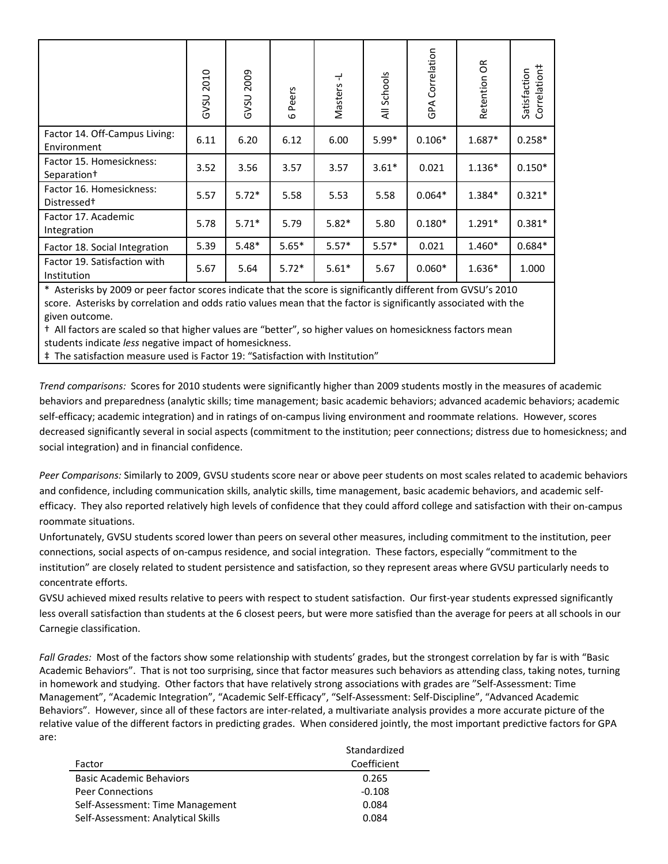|                                                     | 2010<br><b>GVSU</b> | GVSU 2009 | Peers<br>$\omega$ | ᆛ<br>Masters | All Schools | Correlation<br>GPA | δŘ<br>Retention | Correlation#<br>Satisfaction |
|-----------------------------------------------------|---------------------|-----------|-------------------|--------------|-------------|--------------------|-----------------|------------------------------|
| Factor 14. Off-Campus Living:<br>Environment        | 6.11                | 6.20      | 6.12              | 6.00         | $5.99*$     | $0.106*$           | $1.687*$        | $0.258*$                     |
| Factor 15. Homesickness:<br>Separation <sup>+</sup> | 3.52                | 3.56      | 3.57              | 3.57         | $3.61*$     | 0.021              | $1.136*$        | $0.150*$                     |
| Factor 16. Homesickness:<br>Distressed <sup>+</sup> | 5.57                | $5.72*$   | 5.58              | 5.53         | 5.58        | $0.064*$           | 1.384*          | $0.321*$                     |
| Factor 17. Academic<br>Integration                  | 5.78                | $5.71*$   | 5.79              | $5.82*$      | 5.80        | $0.180*$           | $1.291*$        | $0.381*$                     |
| Factor 18. Social Integration                       | 5.39                | $5.48*$   | $5.65*$           | $5.57*$      | $5.57*$     | 0.021              | 1.460*          | $0.684*$                     |
| Factor 19. Satisfaction with<br>Institution         | 5.67                | 5.64      | $5.72*$           | $5.61*$      | 5.67        | $0.060*$           | $1.636*$        | 1.000                        |

\* Asterisks by 2009 or peer factor scores indicate that the score is significantly different from GVSU's 2010 score. Asterisks by correlation and odds ratio values mean that the factor is significantly associated with the given outcome.

† All factors are scaled so that higher values are "better", so higher values on homesickness factors mean students indicate *less* negative impact of homesickness.

‡ The satisfaction measure used is Factor 19: "Satisfaction with Institution"

*Trend comparisons:* Scores for 2010 students were significantly higher than 2009 students mostly in the measures of academic behaviors and preparedness (analytic skills; time management; basic academic behaviors; advanced academic behaviors; academic self-efficacy; academic integration) and in ratings of on-campus living environment and roommate relations. However, scores decreased significantly several in social aspects (commitment to the institution; peer connections; distress due to homesickness; and social integration) and in financial confidence.

*Peer Comparisons:* Similarly to 2009, GVSU students score near or above peer students on most scales related to academic behaviors and confidence, including communication skills, analytic skills, time management, basic academic behaviors, and academic selfefficacy. They also reported relatively high levels of confidence that they could afford college and satisfaction with their on‐campus roommate situations.

Unfortunately, GVSU students scored lower than peers on several other measures, including commitment to the institution, peer connections, social aspects of on‐campus residence, and social integration. These factors, especially "commitment to the institution" are closely related to student persistence and satisfaction, so they represent areas where GVSU particularly needs to concentrate efforts.

GVSU achieved mixed results relative to peers with respect to student satisfaction. Our first-year students expressed significantly less overall satisfaction than students at the 6 closest peers, but were more satisfied than the average for peers at all schools in our Carnegie classification.

Fall Grades: Most of the factors show some relationship with students' grades, but the strongest correlation by far is with "Basic Academic Behaviors". That is not too surprising, since that factor measures such behaviors as attending class, taking notes, turning in homework and studying. Other factors that have relatively strong associations with grades are "Self‐Assessment: Time Management", "Academic Integration", "Academic Self‐Efficacy", "Self‐Assessment: Self‐Discipline", "Advanced Academic Behaviors". However, since all of these factors are inter‐related, a multivariate analysis provides a more accurate picture of the relative value of the different factors in predicting grades. When considered jointly, the most important predictive factors for GPA are:

|                                    | Standardized |  |  |  |  |
|------------------------------------|--------------|--|--|--|--|
| Factor                             | Coefficient  |  |  |  |  |
| <b>Basic Academic Behaviors</b>    | 0.265        |  |  |  |  |
| <b>Peer Connections</b>            | $-0.108$     |  |  |  |  |
| Self-Assessment: Time Management   | 0.084        |  |  |  |  |
| Self-Assessment: Analytical Skills | 0.084        |  |  |  |  |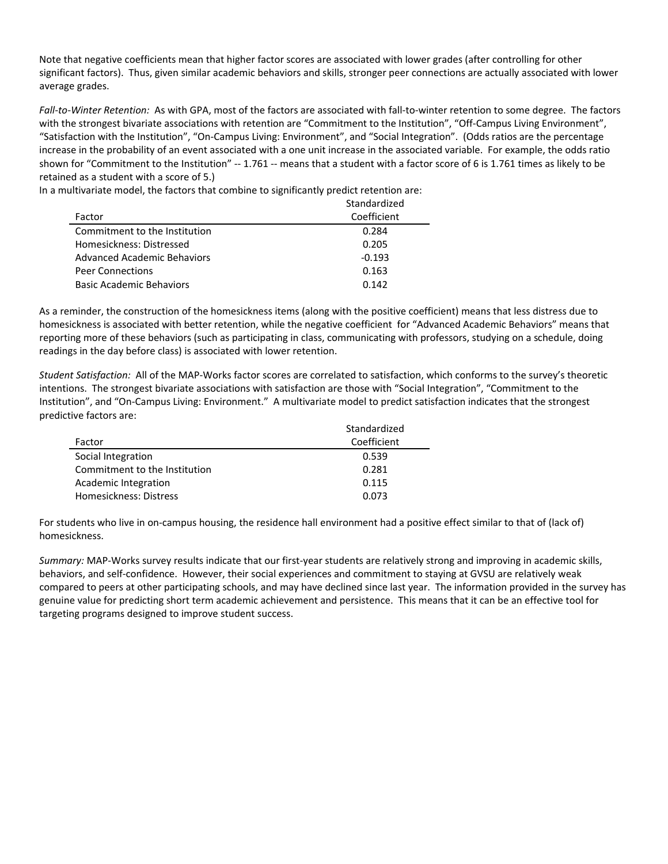Note that negative coefficients mean that higher factor scores are associated with lower grades (after controlling for other significant factors). Thus, given similar academic behaviors and skills, stronger peer connections are actually associated with lower average grades.

*Fall‐to‐Winter Retention:* As with GPA, most of the factors are associated with fall‐to‐winter retention to some degree. The factors with the strongest bivariate associations with retention are "Commitment to the Institution", "Off-Campus Living Environment", "Satisfaction with the Institution", "On‐Campus Living: Environment", and "Social Integration". (Odds ratios are the percentage increase in the probability of an event associated with a one unit increase in the associated variable. For example, the odds ratio shown for "Commitment to the Institution" ‐‐ 1.761 ‐‐ means that a student with a factor score of 6 is 1.761 times as likely to be retained as a student with a score of 5.)

In a multivariate model, the factors that combine to significantly predict retention are:

|                               | Standardized |
|-------------------------------|--------------|
| Factor                        | Coefficient  |
| Commitment to the Institution | 0.284        |
| Homesickness: Distressed      | 0.205        |
| Advanced Academic Behaviors   | $-0.193$     |
| <b>Peer Connections</b>       | 0.163        |
| Basic Academic Behaviors      | 0.142        |

As a reminder, the construction of the homesickness items (along with the positive coefficient) means that less distress due to homesickness is associated with better retention, while the negative coefficient for "Advanced Academic Behaviors" means that reporting more of these behaviors (such as participating in class, communicating with professors, studying on a schedule, doing readings in the day before class) is associated with lower retention.

*Student Satisfaction:* All of the MAP‐Works factor scores are correlated to satisfaction, which conforms to the survey's theoretic intentions. The strongest bivariate associations with satisfaction are those with "Social Integration", "Commitment to the Institution", and "On‐Campus Living: Environment." A multivariate model to predict satisfaction indicates that the strongest predictive factors are:

|                               | Standardized |
|-------------------------------|--------------|
| Factor                        | Coefficient  |
| Social Integration            | 0.539        |
| Commitment to the Institution | 0.281        |
| Academic Integration          | 0.115        |
| Homesickness: Distress        | 0.073        |

For students who live in on‐campus housing, the residence hall environment had a positive effect similar to that of (lack of) homesickness.

*Summary:* MAP-Works survey results indicate that our first-year students are relatively strong and improving in academic skills, behaviors, and self‐confidence. However, their social experiences and commitment to staying at GVSU are relatively weak compared to peers at other participating schools, and may have declined since last year. The information provided in the survey has genuine value for predicting short term academic achievement and persistence. This means that it can be an effective tool for targeting programs designed to improve student success.